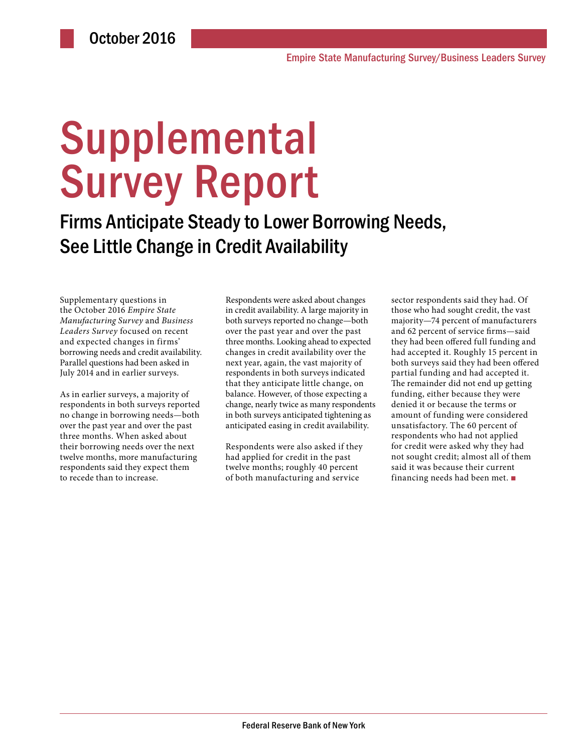# **Supplemental** Survey Report

Firms Anticipate Steady to Lower Borrowing Needs, See Little Change in Credit Availability

Supplementary questions in the October 2016 *Empire State Manufacturing Survey* and *Business Leaders Survey* focused on recent and expected changes in firms' borrowing needs and credit availability. Parallel questions had been asked in July 2014 and in earlier surveys.

As in earlier surveys, a majority of respondents in both surveys reported no change in borrowing needs—both over the past year and over the past three months. When asked about their borrowing needs over the next twelve months, more manufacturing respondents said they expect them to recede than to increase.

Respondents were asked about changes in credit availability. A large majority in both surveys reported no change—both over the past year and over the past three months. Looking ahead to expected changes in credit availability over the next year, again, the vast majority of respondents in both surveys indicated that they anticipate little change, on balance. However, of those expecting a change, nearly twice as many respondents in both surveys anticipated tightening as anticipated easing in credit availability.

Respondents were also asked if they had applied for credit in the past twelve months; roughly 40 percent of both manufacturing and service

sector respondents said they had. Of those who had sought credit, the vast majority—74 percent of manufacturers and 62 percent of service firms—said they had been offered full funding and had accepted it. Roughly 15 percent in both surveys said they had been offered partial funding and had accepted it. The remainder did not end up getting funding, either because they were denied it or because the terms or amount of funding were considered unsatisfactory. The 60 percent of respondents who had not applied for credit were asked why they had not sought credit; almost all of them said it was because their current financing needs had been met. ■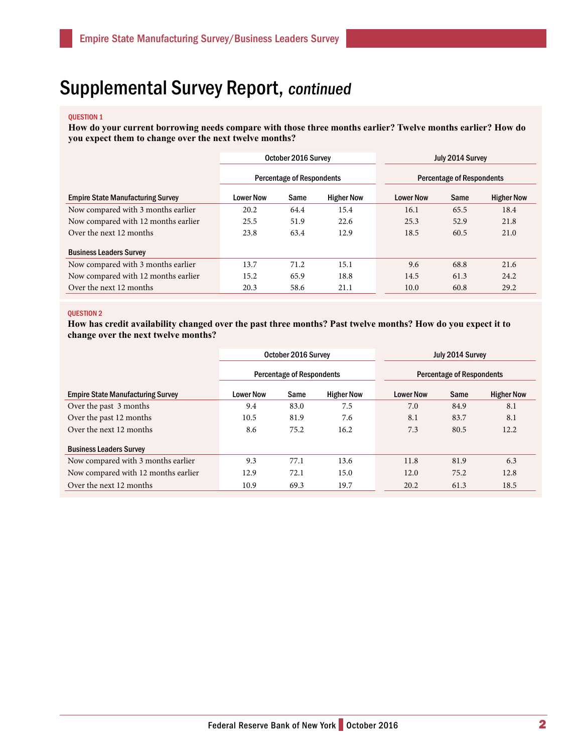## Supplemental Survey Report, continued

#### QUESTION 1

**How do your current borrowing needs compare with those three months earlier? Twelve months earlier? How do you expect them to change over the next twelve months?** 

|                                          | October 2016 Survey              |      |                   | July 2014 Survey                 |      |                   |
|------------------------------------------|----------------------------------|------|-------------------|----------------------------------|------|-------------------|
|                                          | <b>Percentage of Respondents</b> |      |                   | <b>Percentage of Respondents</b> |      |                   |
| <b>Empire State Manufacturing Survey</b> | <b>Lower Now</b>                 | Same | <b>Higher Now</b> | <b>Lower Now</b>                 | Same | <b>Higher Now</b> |
| Now compared with 3 months earlier       | 20.2                             | 64.4 | 15.4              | 16.1                             | 65.5 | 18.4              |
| Now compared with 12 months earlier      | 25.5                             | 51.9 | 22.6              | 25.3                             | 52.9 | 21.8              |
| Over the next 12 months                  | 23.8                             | 63.4 | 12.9              | 18.5                             | 60.5 | 21.0              |
| <b>Business Leaders Survey</b>           |                                  |      |                   |                                  |      |                   |
| Now compared with 3 months earlier       | 13.7                             | 71.2 | 15.1              | 9.6                              | 68.8 | 21.6              |
| Now compared with 12 months earlier      | 15.2                             | 65.9 | 18.8              | 14.5                             | 61.3 | 24.2              |
| Over the next 12 months                  | 20.3                             | 58.6 | 21.1              | 10.0                             | 60.8 | 29.2              |

#### QUESTION 2

**How has credit availability changed over the past three months? Past twelve months? How do you expect it to change over the next twelve months?** 

|                                          | October 2016 Survey              |      |                   | July 2014 Survey                 |      |                   |
|------------------------------------------|----------------------------------|------|-------------------|----------------------------------|------|-------------------|
|                                          | <b>Percentage of Respondents</b> |      |                   | <b>Percentage of Respondents</b> |      |                   |
| <b>Empire State Manufacturing Survey</b> | <b>Lower Now</b>                 | Same | <b>Higher Now</b> | <b>Lower Now</b>                 | Same | <b>Higher Now</b> |
| Over the past 3 months                   | 9.4                              | 83.0 | 7.5               | 7.0                              | 84.9 | 8.1               |
| Over the past 12 months                  | 10.5                             | 81.9 | 7.6               | 8.1                              | 83.7 | 8.1               |
| Over the next 12 months                  | 8.6                              | 75.2 | 16.2              | 7.3                              | 80.5 | 12.2              |
| <b>Business Leaders Survey</b>           |                                  |      |                   |                                  |      |                   |
| Now compared with 3 months earlier       | 9.3                              | 77.1 | 13.6              | 11.8                             | 81.9 | 6.3               |
| Now compared with 12 months earlier      | 12.9                             | 72.1 | 15.0              | 12.0                             | 75.2 | 12.8              |
| Over the next 12 months                  | 10.9                             | 69.3 | 19.7              | 20.2                             | 61.3 | 18.5              |